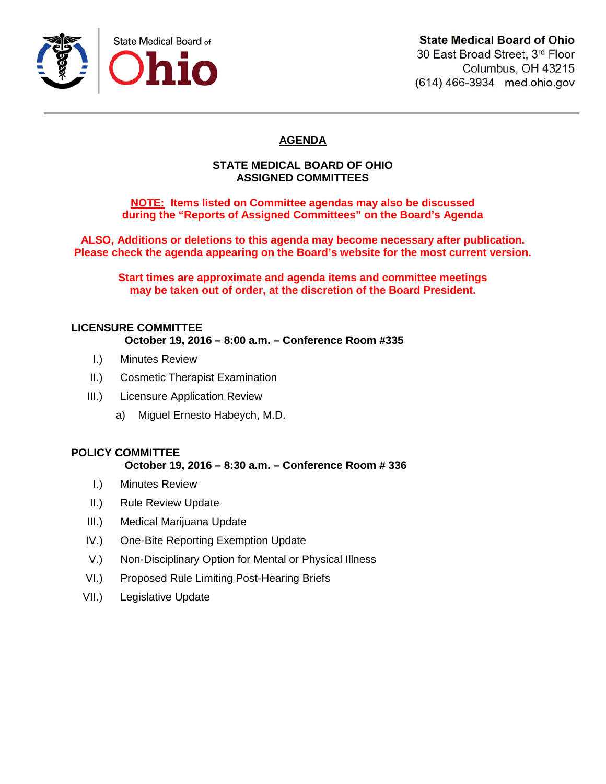

# **State Medical Board of Ohio**

30 East Broad Street, 3rd Floor Columbus, OH 43215 (614) 466-3934 med.ohio.gov

# **AGENDA**

#### **STATE MEDICAL BOARD OF OHIO ASSIGNED COMMITTEES**

**NOTE: Items listed on Committee agendas may also be discussed during the "Reports of Assigned Committees" on the Board's Agenda**

**ALSO, Additions or deletions to this agenda may become necessary after publication. Please check the agenda appearing on the Board's website for the most current version.**

**Start times are approximate and agenda items and committee meetings may be taken out of order, at the discretion of the Board President.**

## **LICENSURE COMMITTEE**

**October 19, 2016 – 8:00 a.m. – Conference Room #335**

- I.) Minutes Review
- II.) Cosmetic Therapist Examination
- III.) Licensure Application Review
	- a) Miguel Ernesto Habeych, M.D.

# **POLICY COMMITTEE**

## **October 19, 2016 – 8:30 a.m. – Conference Room # 336**

- I.) Minutes Review
- II.) Rule Review Update
- III.) Medical Marijuana Update
- IV.) One-Bite Reporting Exemption Update
- V.) Non-Disciplinary Option for Mental or Physical Illness
- VI.) Proposed Rule Limiting Post-Hearing Briefs
- VII.) Legislative Update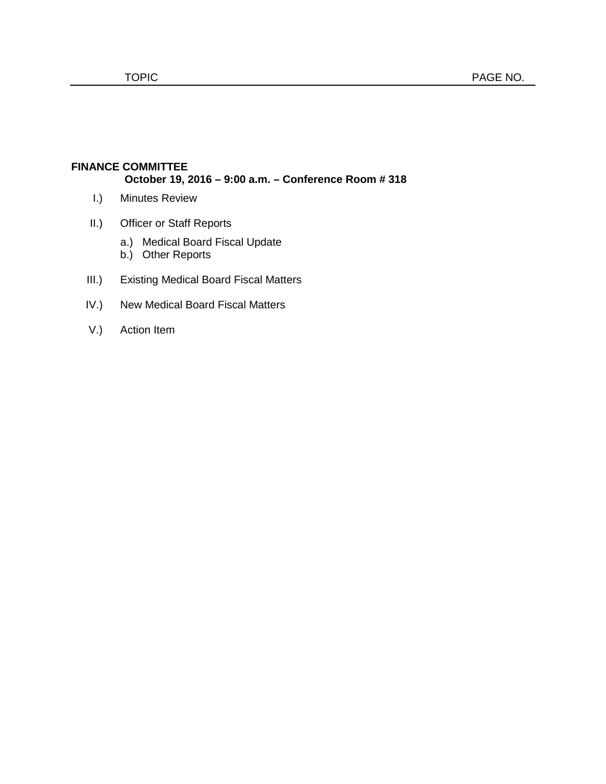## **FINANCE COMMITTEE October 19, 2016 – 9:00 a.m. – Conference Room # 318**

- I.) Minutes Review
- II.) Officer or Staff Reports
	- a.) Medical Board Fiscal Update
	- b.) Other Reports
- III.) Existing Medical Board Fiscal Matters
- IV.) New Medical Board Fiscal Matters
- V.) Action Item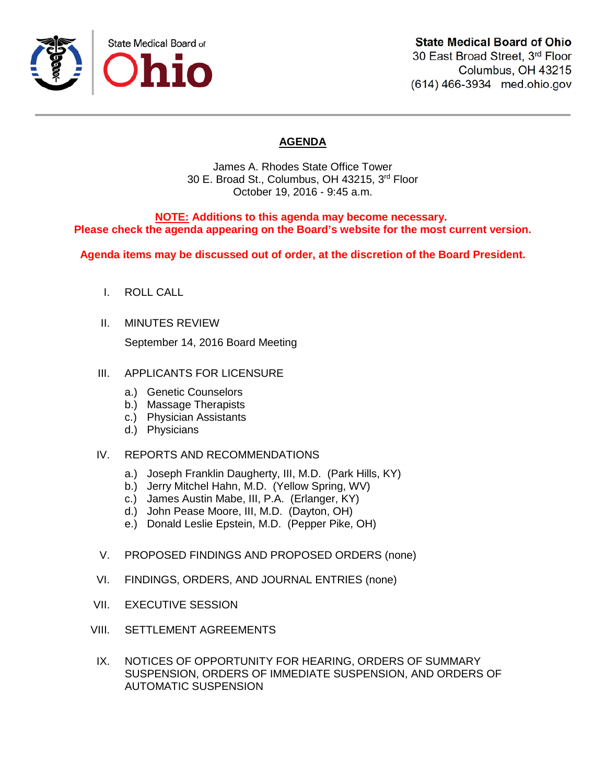

Columbus, OH 43215 (614) 466-3934 med.ohio.gov

# **AGENDA**

James A. Rhodes State Office Tower 30 E. Broad St., Columbus, OH 43215, 3rd Floor October 19, 2016 - 9:45 a.m.

**NOTE: Additions to this agenda may become necessary. Please check the agenda appearing on the Board's website for the most current version.**

**Agenda items may be discussed out of order, at the discretion of the Board President.**

- I. ROLL CALL
- II. MINUTES REVIEW

September 14, 2016 Board Meeting

## III. APPLICANTS FOR LICENSURE

- a.) Genetic Counselors
- b.) Massage Therapists
- c.) Physician Assistants
- d.) Physicians

## IV. REPORTS AND RECOMMENDATIONS

- a.) Joseph Franklin Daugherty, III, M.D. (Park Hills, KY)
- b.) Jerry Mitchel Hahn, M.D. (Yellow Spring, WV)
- c.) James Austin Mabe, III, P.A. (Erlanger, KY)
- d.) John Pease Moore, III, M.D. (Dayton, OH)
- e.) Donald Leslie Epstein, M.D. (Pepper Pike, OH)
- V. PROPOSED FINDINGS AND PROPOSED ORDERS (none)
- VI. FINDINGS, ORDERS, AND JOURNAL ENTRIES (none)
- VII. EXECUTIVE SESSION
- VIII. SETTLEMENT AGREEMENTS
- IX. NOTICES OF OPPORTUNITY FOR HEARING, ORDERS OF SUMMARY SUSPENSION, ORDERS OF IMMEDIATE SUSPENSION, AND ORDERS OF AUTOMATIC SUSPENSION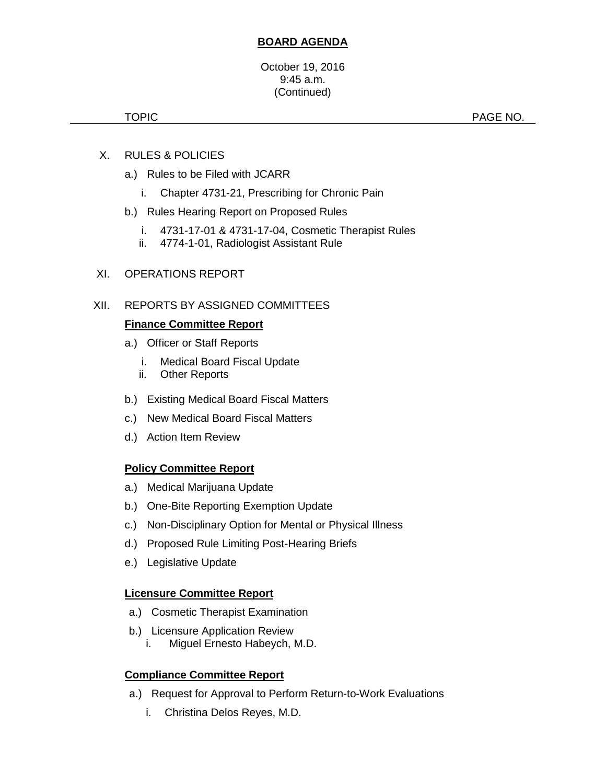## **BOARD AGENDA**

#### October 19, 2016 9:45 a.m. (Continued)

TOPIC **PAGE NO.** 

- X. RULES & POLICIES
	- a.) Rules to be Filed with JCARR
		- i. Chapter 4731-21, Prescribing for Chronic Pain
	- b.) Rules Hearing Report on Proposed Rules
		- i. 4731-17-01 & 4731-17-04, Cosmetic Therapist Rules
		- ii. 4774-1-01, Radiologist Assistant Rule

## XI. OPERATIONS REPORT

## XII. REPORTS BY ASSIGNED COMMITTEES

## **Finance Committee Report**

- a.) Officer or Staff Reports
	- i. Medical Board Fiscal Update
	- ii. Other Reports
- b.) Existing Medical Board Fiscal Matters
- c.) New Medical Board Fiscal Matters
- d.) Action Item Review

## **Policy Committee Report**

- a.) Medical Marijuana Update
- b.) One-Bite Reporting Exemption Update
- c.) Non-Disciplinary Option for Mental or Physical Illness
- d.) Proposed Rule Limiting Post-Hearing Briefs
- e.) Legislative Update

## **Licensure Committee Report**

- a.) Cosmetic Therapist Examination
- b.) Licensure Application Review
	- i. Miguel Ernesto Habeych, M.D.

## **Compliance Committee Report**

- a.) Request for Approval to Perform Return-to-Work Evaluations
	- i. Christina Delos Reyes, M.D.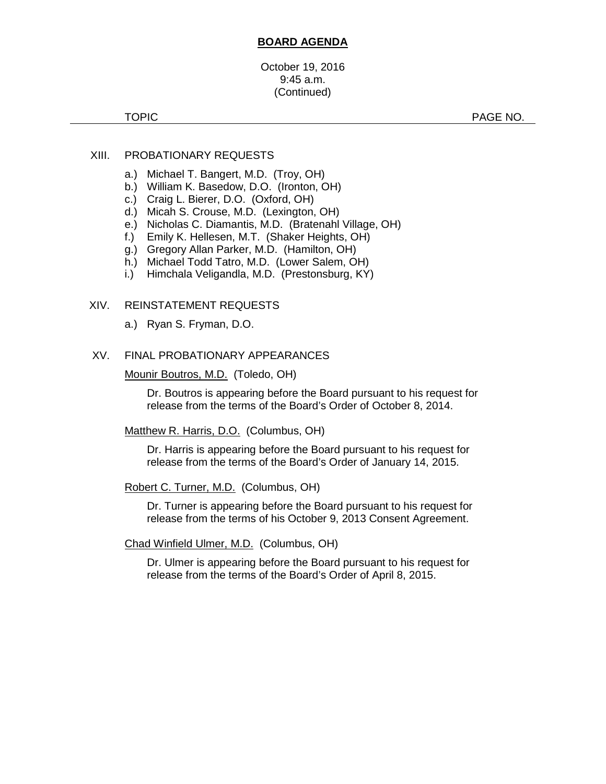#### **BOARD AGENDA**

October 19, 2016 9:45 a.m. (Continued)

TOPIC PAGE NO.

#### XIII. PROBATIONARY REQUESTS

- a.) Michael T. Bangert, M.D. (Troy, OH)
- b.) William K. Basedow, D.O. (Ironton, OH)
- c.) Craig L. Bierer, D.O. (Oxford, OH)
- d.) Micah S. Crouse, M.D. (Lexington, OH)
- e.) Nicholas C. Diamantis, M.D. (Bratenahl Village, OH)
- f.) Emily K. Hellesen, M.T. (Shaker Heights, OH)
- g.) Gregory Allan Parker, M.D. (Hamilton, OH)
- h.) Michael Todd Tatro, M.D. (Lower Salem, OH)
- i.) Himchala Veligandla, M.D. (Prestonsburg, KY)

#### XIV. REINSTATEMENT REQUESTS

a.) Ryan S. Fryman, D.O.

## XV. FINAL PROBATIONARY APPEARANCES

#### Mounir Boutros, M.D. (Toledo, OH)

Dr. Boutros is appearing before the Board pursuant to his request for release from the terms of the Board's Order of October 8, 2014.

#### Matthew R. Harris, D.O. (Columbus, OH)

Dr. Harris is appearing before the Board pursuant to his request for release from the terms of the Board's Order of January 14, 2015.

#### Robert C. Turner, M.D. (Columbus, OH)

Dr. Turner is appearing before the Board pursuant to his request for release from the terms of his October 9, 2013 Consent Agreement.

#### Chad Winfield Ulmer, M.D. (Columbus, OH)

Dr. Ulmer is appearing before the Board pursuant to his request for release from the terms of the Board's Order of April 8, 2015.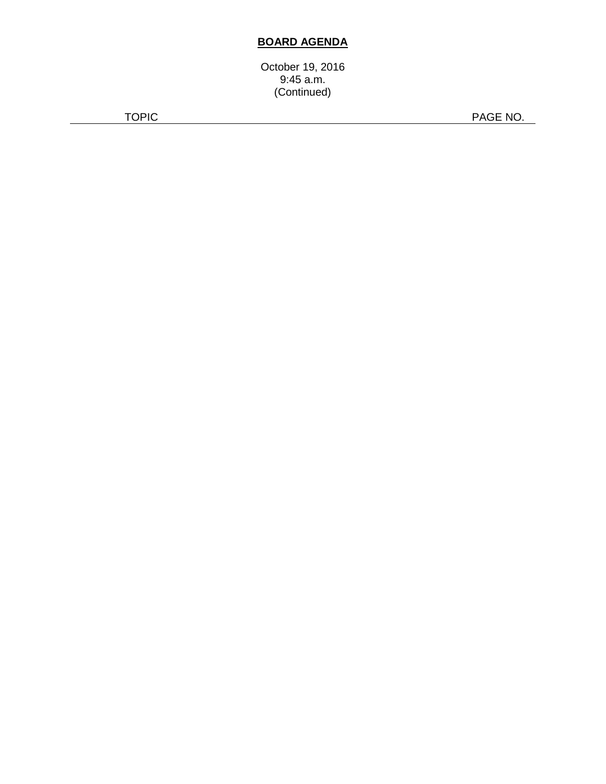# **BOARD AGENDA**

October 19, 2016 9:45 a.m. (Continued)

TOPIC PAGE NO.